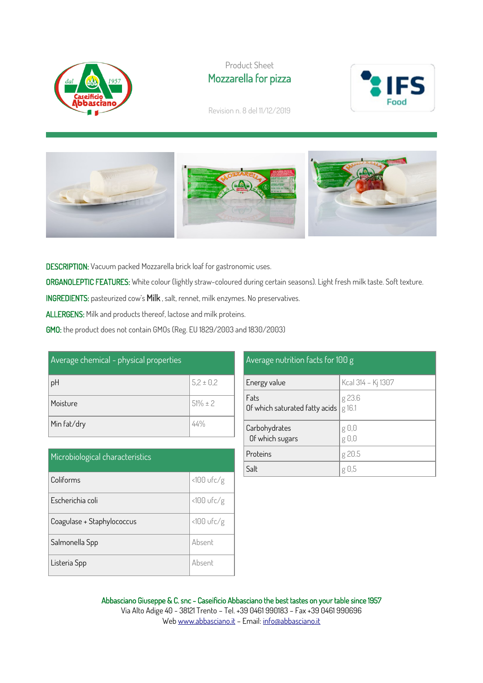

## Product Sheet Mozzarella for pizza



Revision n. 8 del 11/12/2019



DESCRIPTION: Vacuum packed Mozzarella brick loaf for gastronomic uses.

ORGANOLEPTIC FEATURES: White colour (lightly straw-coloured during certain seasons). Light fresh milk taste. Soft texture.

INGREDIENTS: pasteurized cow's Milk , salt, rennet, milk enzymes. No preservatives.

ALLERGENS: Milk and products thereof, lactose and milk proteins.

GMO: the product does not contain GMOs (Reg. EU 1829/2003 and 1830/2003)

| Average chemical - physical properties |               |  |
|----------------------------------------|---------------|--|
| pH                                     | $5.2 \pm 0.2$ |  |
| Moisture                               | $51\% \pm 2$  |  |
| Min fat/dry                            | 44%           |  |

| Microbiological characteristics |              |  |
|---------------------------------|--------------|--|
| Coliforms                       | $<100$ ufc/g |  |
| Escherichia coli                | $<100$ ufc/g |  |
| Coagulase + Staphylococcus      | $<100$ ufc/g |  |
| Salmonella Spp                  | Absent       |  |
| Listeria Spp                    | Absent       |  |

#### Average nutrition facts for 100 g

| Energy value                           | Kcal 314 - Kj 1307 |
|----------------------------------------|--------------------|
| Fats<br>Of which saturated fatty acids | g 23.6<br>g 16.1   |
| Carbohydrates<br>Of which sugars       | g 0,0<br>g 0,0     |
| Proteins                               | g 20.5             |
| Salt                                   | g 0.5              |

Abbasciano Giuseppe & C. snc - Caseificio Abbasciano the best tastes on your table since 1957 Via Alto Adige 40 - 38121 Trento – Tel. +39 0461 990183 – Fax +39 0461 990696 We[b www.abbasciano.it](http://www.abbasciano.it/) – Email[: info@abbasciano.it](mailto:info@abbasciano.it)